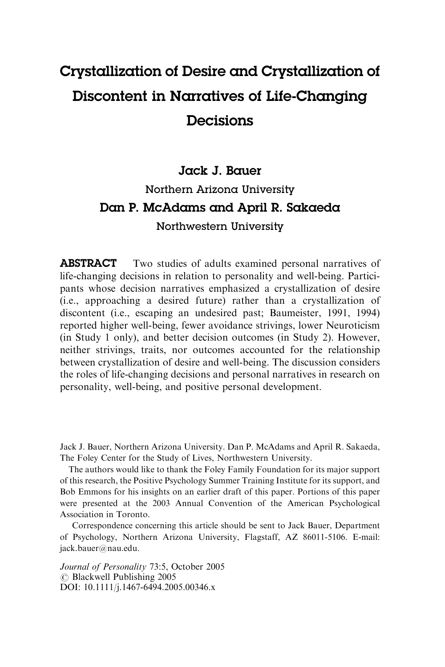# Crystallization of Desire and Crystallization of Discontent in Narratives of Life-Changing Decisions

# Jack J. Bauer Northern Arizona University

# Dan P. McAdams and April R. Sakaeda Northwestern University

**ABSTRACT** Two studies of adults examined personal narratives of life-changing decisions in relation to personality and well-being. Participants whose decision narratives emphasized a crystallization of desire (i.e., approaching a desired future) rather than a crystallization of discontent (i.e., escaping an undesired past; Baumeister, 1991, 1994) reported higher well-being, fewer avoidance strivings, lower Neuroticism (in Study 1 only), and better decision outcomes (in Study 2). However, neither strivings, traits, nor outcomes accounted for the relationship between crystallization of desire and well-being. The discussion considers the roles of life-changing decisions and personal narratives in research on personality, well-being, and positive personal development.

Jack J. Bauer, Northern Arizona University. Dan P. McAdams and April R. Sakaeda, The Foley Center for the Study of Lives, Northwestern University.

The authors would like to thank the Foley Family Foundation for its major support of this research, the Positive Psychology Summer Training Institute for its support, and Bob Emmons for his insights on an earlier draft of this paper. Portions of this paper were presented at the 2003 Annual Convention of the American Psychological Association in Toronto.

Correspondence concerning this article should be sent to Jack Bauer, Department of Psychology, Northern Arizona University, Flagstaff, AZ 86011-5106. E-mail: jack.bauer@nau.edu.

Journal of Personality 73:5, October 2005  $\circ$  Blackwell Publishing 2005 DOI: 10.1111/j.1467-6494.2005.00346.x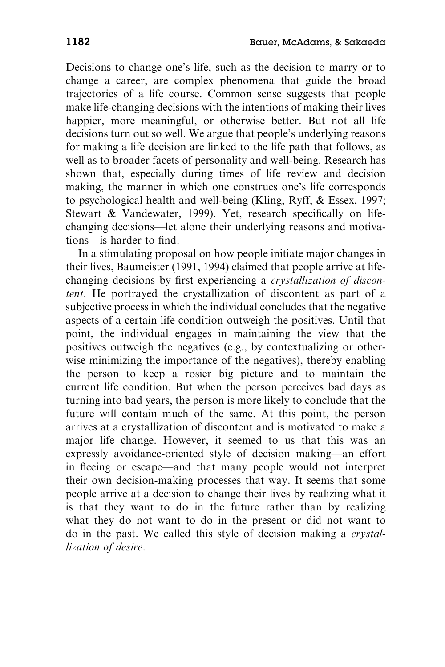Decisions to change one's life, such as the decision to marry or to change a career, are complex phenomena that guide the broad trajectories of a life course. Common sense suggests that people make life-changing decisions with the intentions of making their lives happier, more meaningful, or otherwise better. But not all life decisions turn out so well. We argue that people's underlying reasons for making a life decision are linked to the life path that follows, as well as to broader facets of personality and well-being. Research has shown that, especially during times of life review and decision making, the manner in which one construes one's life corresponds to psychological health and well-being (Kling, Ryff, & Essex, 1997; Stewart & Vandewater, 1999). Yet, research specifically on lifechanging decisions—let alone their underlying reasons and motivations—is harder to find.

In a stimulating proposal on how people initiate major changes in their lives, Baumeister (1991, 1994) claimed that people arrive at lifechanging decisions by first experiencing a crystallization of discontent. He portrayed the crystallization of discontent as part of a subjective process in which the individual concludes that the negative aspects of a certain life condition outweigh the positives. Until that point, the individual engages in maintaining the view that the positives outweigh the negatives (e.g., by contextualizing or otherwise minimizing the importance of the negatives), thereby enabling the person to keep a rosier big picture and to maintain the current life condition. But when the person perceives bad days as turning into bad years, the person is more likely to conclude that the future will contain much of the same. At this point, the person arrives at a crystallization of discontent and is motivated to make a major life change. However, it seemed to us that this was an expressly avoidance-oriented style of decision making—an effort in fleeing or escape—and that many people would not interpret their own decision-making processes that way. It seems that some people arrive at a decision to change their lives by realizing what it is that they want to do in the future rather than by realizing what they do not want to do in the present or did not want to do in the past. We called this style of decision making a crystallization of desire.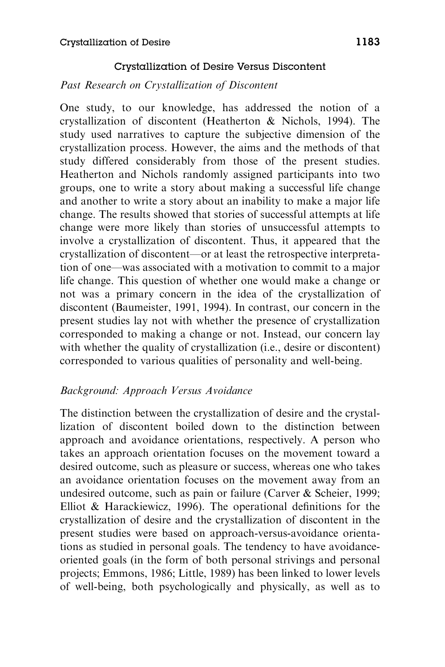## Crystallization of Desire Versus Discontent

Past Research on Crystallization of Discontent

One study, to our knowledge, has addressed the notion of a crystallization of discontent (Heatherton & Nichols, 1994). The study used narratives to capture the subjective dimension of the crystallization process. However, the aims and the methods of that study differed considerably from those of the present studies. Heatherton and Nichols randomly assigned participants into two groups, one to write a story about making a successful life change and another to write a story about an inability to make a major life change. The results showed that stories of successful attempts at life change were more likely than stories of unsuccessful attempts to involve a crystallization of discontent. Thus, it appeared that the crystallization of discontent—or at least the retrospective interpretation of one—was associated with a motivation to commit to a major life change. This question of whether one would make a change or not was a primary concern in the idea of the crystallization of discontent (Baumeister, 1991, 1994). In contrast, our concern in the present studies lay not with whether the presence of crystallization corresponded to making a change or not. Instead, our concern lay with whether the quality of crystallization (i.e., desire or discontent) corresponded to various qualities of personality and well-being.

## Background: Approach Versus Avoidance

The distinction between the crystallization of desire and the crystallization of discontent boiled down to the distinction between approach and avoidance orientations, respectively. A person who takes an approach orientation focuses on the movement toward a desired outcome, such as pleasure or success, whereas one who takes an avoidance orientation focuses on the movement away from an undesired outcome, such as pain or failure (Carver & Scheier, 1999; Elliot & Harackiewicz, 1996). The operational definitions for the crystallization of desire and the crystallization of discontent in the present studies were based on approach-versus-avoidance orientations as studied in personal goals. The tendency to have avoidanceoriented goals (in the form of both personal strivings and personal projects; Emmons, 1986; Little, 1989) has been linked to lower levels of well-being, both psychologically and physically, as well as to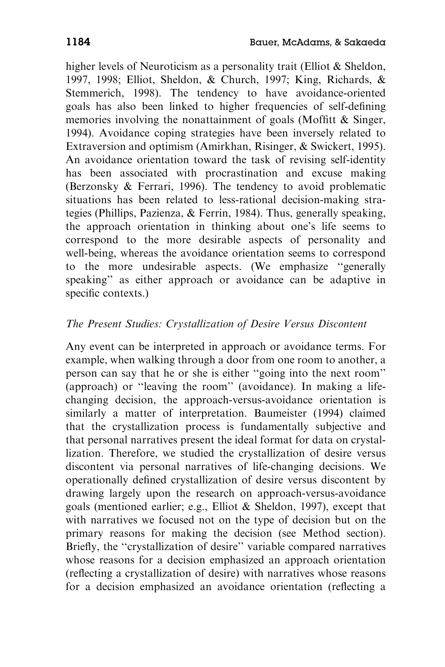higher levels of Neuroticism as a personality trait (Elliot & Sheldon, 1997, 1998; Elliot, Sheldon, & Church, 1997; King, Richards, & Stemmerich, 1998). The tendency to have avoidance-oriented goals has also been linked to higher frequencies of self-defining memories involving the nonattainment of goals (Moffitt & Singer, 1994). Avoidance coping strategies have been inversely related to Extraversion and optimism (Amirkhan, Risinger, & Swickert, 1995). An avoidance orientation toward the task of revising self-identity has been associated with procrastination and excuse making (Berzonsky & Ferrari, 1996). The tendency to avoid problematic situations has been related to less-rational decision-making strategies (Phillips, Pazienza, & Ferrin, 1984). Thus, generally speaking, the approach orientation in thinking about one's life seems to correspond to the more desirable aspects of personality and well-being, whereas the avoidance orientation seems to correspond to the more undesirable aspects. (We emphasize ''generally speaking'' as either approach or avoidance can be adaptive in specific contexts.)

## The Present Studies: Crystallization of Desire Versus Discontent

Any event can be interpreted in approach or avoidance terms. For example, when walking through a door from one room to another, a person can say that he or she is either ''going into the next room'' (approach) or ''leaving the room'' (avoidance). In making a lifechanging decision, the approach-versus-avoidance orientation is similarly a matter of interpretation. Baumeister (1994) claimed that the crystallization process is fundamentally subjective and that personal narratives present the ideal format for data on crystallization. Therefore, we studied the crystallization of desire versus discontent via personal narratives of life-changing decisions. We operationally defined crystallization of desire versus discontent by drawing largely upon the research on approach-versus-avoidance goals (mentioned earlier; e.g., Elliot & Sheldon, 1997), except that with narratives we focused not on the type of decision but on the primary reasons for making the decision (see Method section). Briefly, the ''crystallization of desire'' variable compared narratives whose reasons for a decision emphasized an approach orientation (reflecting a crystallization of desire) with narratives whose reasons for a decision emphasized an avoidance orientation (reflecting a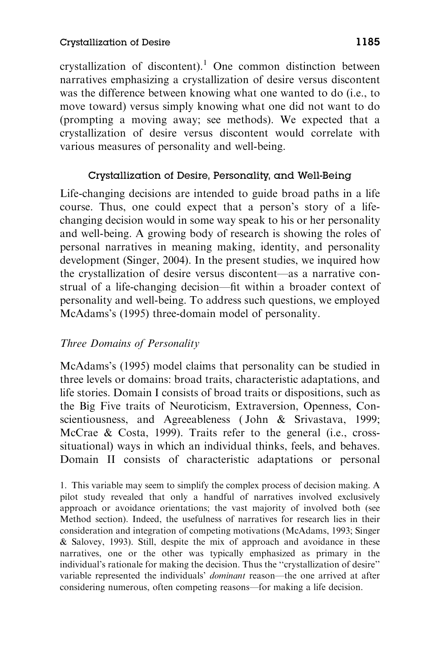crystallization of discontent).<sup>1</sup> One common distinction between narratives emphasizing a crystallization of desire versus discontent was the difference between knowing what one wanted to do (i.e., to move toward) versus simply knowing what one did not want to do (prompting a moving away; see methods). We expected that a crystallization of desire versus discontent would correlate with various measures of personality and well-being.

# Crystallization of Desire, Personality, and Well-Being

Life-changing decisions are intended to guide broad paths in a life course. Thus, one could expect that a person's story of a lifechanging decision would in some way speak to his or her personality and well-being. A growing body of research is showing the roles of personal narratives in meaning making, identity, and personality development (Singer, 2004). In the present studies, we inquired how the crystallization of desire versus discontent—as a narrative construal of a life-changing decision—fit within a broader context of personality and well-being. To address such questions, we employed McAdams's (1995) three-domain model of personality.

# Three Domains of Personality

McAdams's (1995) model claims that personality can be studied in three levels or domains: broad traits, characteristic adaptations, and life stories. Domain I consists of broad traits or dispositions, such as the Big Five traits of Neuroticism, Extraversion, Openness, Conscientiousness, and Agreeableness (John & Srivastava, 1999; McCrae & Costa, 1999). Traits refer to the general (i.e., crosssituational) ways in which an individual thinks, feels, and behaves. Domain II consists of characteristic adaptations or personal

1. This variable may seem to simplify the complex process of decision making. A pilot study revealed that only a handful of narratives involved exclusively approach or avoidance orientations; the vast majority of involved both (see Method section). Indeed, the usefulness of narratives for research lies in their consideration and integration of competing motivations (McAdams, 1993; Singer & Salovey, 1993). Still, despite the mix of approach and avoidance in these narratives, one or the other was typically emphasized as primary in the individual's rationale for making the decision. Thus the ''crystallization of desire'' variable represented the individuals' dominant reason—the one arrived at after considering numerous, often competing reasons—for making a life decision.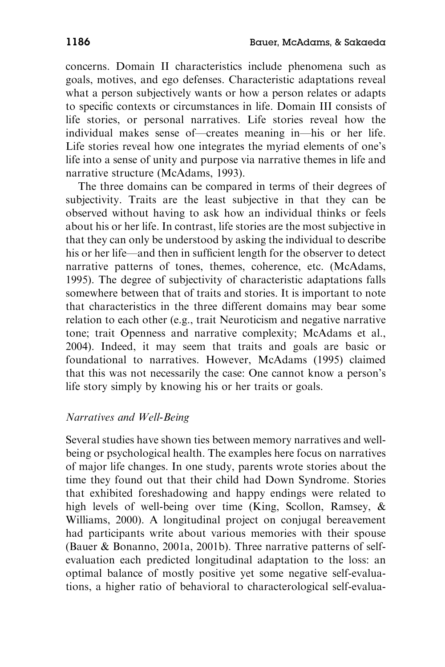concerns. Domain II characteristics include phenomena such as goals, motives, and ego defenses. Characteristic adaptations reveal what a person subjectively wants or how a person relates or adapts to specific contexts or circumstances in life. Domain III consists of life stories, or personal narratives. Life stories reveal how the individual makes sense of—creates meaning in—his or her life. Life stories reveal how one integrates the myriad elements of one's life into a sense of unity and purpose via narrative themes in life and narrative structure (McAdams, 1993).

The three domains can be compared in terms of their degrees of subjectivity. Traits are the least subjective in that they can be observed without having to ask how an individual thinks or feels about his or her life. In contrast, life stories are the most subjective in that they can only be understood by asking the individual to describe his or her life—and then in sufficient length for the observer to detect narrative patterns of tones, themes, coherence, etc. (McAdams, 1995). The degree of subjectivity of characteristic adaptations falls somewhere between that of traits and stories. It is important to note that characteristics in the three different domains may bear some relation to each other (e.g., trait Neuroticism and negative narrative tone; trait Openness and narrative complexity; McAdams et al., 2004). Indeed, it may seem that traits and goals are basic or foundational to narratives. However, McAdams (1995) claimed that this was not necessarily the case: One cannot know a person's life story simply by knowing his or her traits or goals.

## Narratives and Well-Being

Several studies have shown ties between memory narratives and wellbeing or psychological health. The examples here focus on narratives of major life changes. In one study, parents wrote stories about the time they found out that their child had Down Syndrome. Stories that exhibited foreshadowing and happy endings were related to high levels of well-being over time (King, Scollon, Ramsey, & Williams, 2000). A longitudinal project on conjugal bereavement had participants write about various memories with their spouse (Bauer & Bonanno, 2001a, 2001b). Three narrative patterns of selfevaluation each predicted longitudinal adaptation to the loss: an optimal balance of mostly positive yet some negative self-evaluations, a higher ratio of behavioral to characterological self-evalua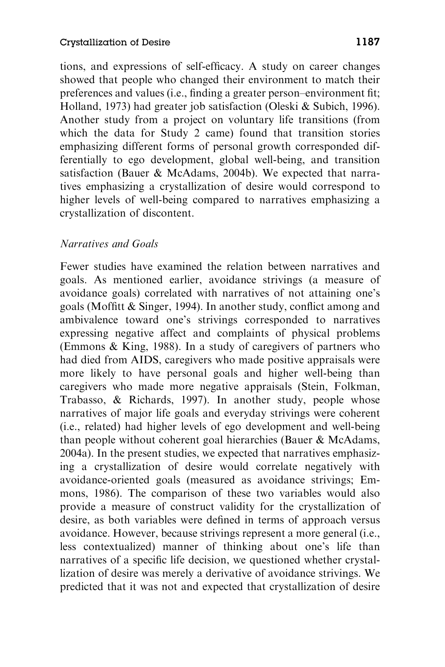tions, and expressions of self-efficacy. A study on career changes showed that people who changed their environment to match their preferences and values (i.e., finding a greater person–environment fit; Holland, 1973) had greater job satisfaction (Oleski & Subich, 1996). Another study from a project on voluntary life transitions (from which the data for Study 2 came) found that transition stories emphasizing different forms of personal growth corresponded differentially to ego development, global well-being, and transition satisfaction (Bauer & McAdams, 2004b). We expected that narratives emphasizing a crystallization of desire would correspond to higher levels of well-being compared to narratives emphasizing a crystallization of discontent.

## Narratives and Goals

Fewer studies have examined the relation between narratives and goals. As mentioned earlier, avoidance strivings (a measure of avoidance goals) correlated with narratives of not attaining one's goals (Moffitt & Singer, 1994). In another study, conflict among and ambivalence toward one's strivings corresponded to narratives expressing negative affect and complaints of physical problems (Emmons & King, 1988). In a study of caregivers of partners who had died from AIDS, caregivers who made positive appraisals were more likely to have personal goals and higher well-being than caregivers who made more negative appraisals (Stein, Folkman, Trabasso, & Richards, 1997). In another study, people whose narratives of major life goals and everyday strivings were coherent (i.e., related) had higher levels of ego development and well-being than people without coherent goal hierarchies (Bauer & McAdams, 2004a). In the present studies, we expected that narratives emphasizing a crystallization of desire would correlate negatively with avoidance-oriented goals (measured as avoidance strivings; Emmons, 1986). The comparison of these two variables would also provide a measure of construct validity for the crystallization of desire, as both variables were defined in terms of approach versus avoidance. However, because strivings represent a more general (i.e., less contextualized) manner of thinking about one's life than narratives of a specific life decision, we questioned whether crystallization of desire was merely a derivative of avoidance strivings. We predicted that it was not and expected that crystallization of desire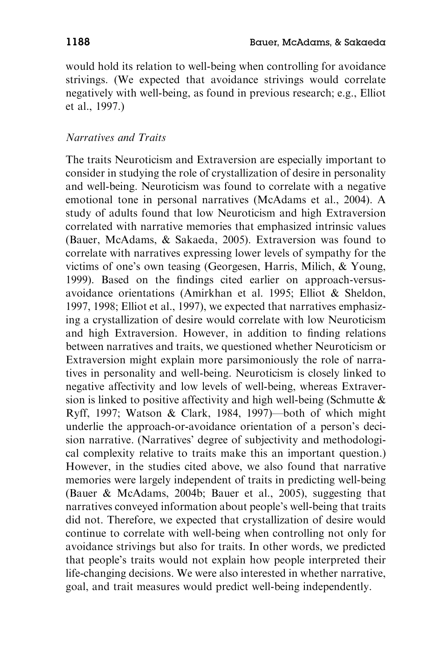would hold its relation to well-being when controlling for avoidance strivings. (We expected that avoidance strivings would correlate negatively with well-being, as found in previous research; e.g., Elliot et al., 1997.)

## Narratives and Traits

The traits Neuroticism and Extraversion are especially important to consider in studying the role of crystallization of desire in personality and well-being. Neuroticism was found to correlate with a negative emotional tone in personal narratives (McAdams et al., 2004). A study of adults found that low Neuroticism and high Extraversion correlated with narrative memories that emphasized intrinsic values (Bauer, McAdams, & Sakaeda, 2005). Extraversion was found to correlate with narratives expressing lower levels of sympathy for the victims of one's own teasing (Georgesen, Harris, Milich, & Young, 1999). Based on the findings cited earlier on approach-versusavoidance orientations (Amirkhan et al. 1995; Elliot & Sheldon, 1997, 1998; Elliot et al., 1997), we expected that narratives emphasizing a crystallization of desire would correlate with low Neuroticism and high Extraversion. However, in addition to finding relations between narratives and traits, we questioned whether Neuroticism or Extraversion might explain more parsimoniously the role of narratives in personality and well-being. Neuroticism is closely linked to negative affectivity and low levels of well-being, whereas Extraversion is linked to positive affectivity and high well-being (Schmutte  $\&$ Ryff, 1997; Watson & Clark, 1984, 1997)—both of which might underlie the approach-or-avoidance orientation of a person's decision narrative. (Narratives' degree of subjectivity and methodological complexity relative to traits make this an important question.) However, in the studies cited above, we also found that narrative memories were largely independent of traits in predicting well-being (Bauer & McAdams, 2004b; Bauer et al., 2005), suggesting that narratives conveyed information about people's well-being that traits did not. Therefore, we expected that crystallization of desire would continue to correlate with well-being when controlling not only for avoidance strivings but also for traits. In other words, we predicted that people's traits would not explain how people interpreted their life-changing decisions. We were also interested in whether narrative, goal, and trait measures would predict well-being independently.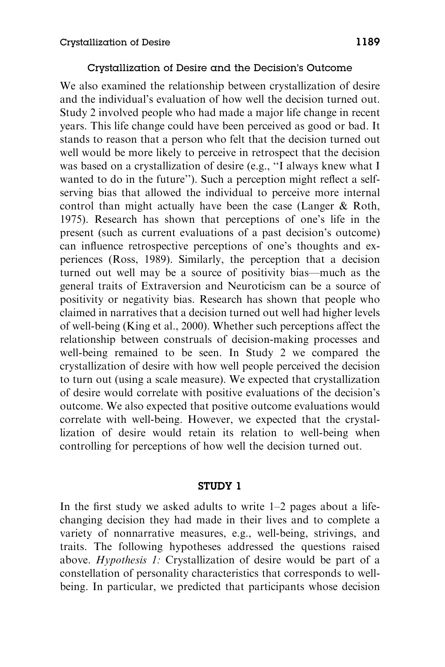## Crystallization of Desire and the Decision's Outcome

We also examined the relationship between crystallization of desire and the individual's evaluation of how well the decision turned out. Study 2 involved people who had made a major life change in recent years. This life change could have been perceived as good or bad. It stands to reason that a person who felt that the decision turned out well would be more likely to perceive in retrospect that the decision was based on a crystallization of desire (e.g., ''I always knew what I wanted to do in the future''). Such a perception might reflect a selfserving bias that allowed the individual to perceive more internal control than might actually have been the case (Langer & Roth, 1975). Research has shown that perceptions of one's life in the present (such as current evaluations of a past decision's outcome) can influence retrospective perceptions of one's thoughts and experiences (Ross, 1989). Similarly, the perception that a decision turned out well may be a source of positivity bias—much as the general traits of Extraversion and Neuroticism can be a source of positivity or negativity bias. Research has shown that people who claimed in narratives that a decision turned out well had higher levels of well-being (King et al., 2000). Whether such perceptions affect the relationship between construals of decision-making processes and well-being remained to be seen. In Study 2 we compared the crystallization of desire with how well people perceived the decision to turn out (using a scale measure). We expected that crystallization of desire would correlate with positive evaluations of the decision's outcome. We also expected that positive outcome evaluations would correlate with well-being. However, we expected that the crystallization of desire would retain its relation to well-being when controlling for perceptions of how well the decision turned out.

## STUDY 1

In the first study we asked adults to write  $1-2$  pages about a lifechanging decision they had made in their lives and to complete a variety of nonnarrative measures, e.g., well-being, strivings, and traits. The following hypotheses addressed the questions raised above. Hypothesis 1: Crystallization of desire would be part of a constellation of personality characteristics that corresponds to wellbeing. In particular, we predicted that participants whose decision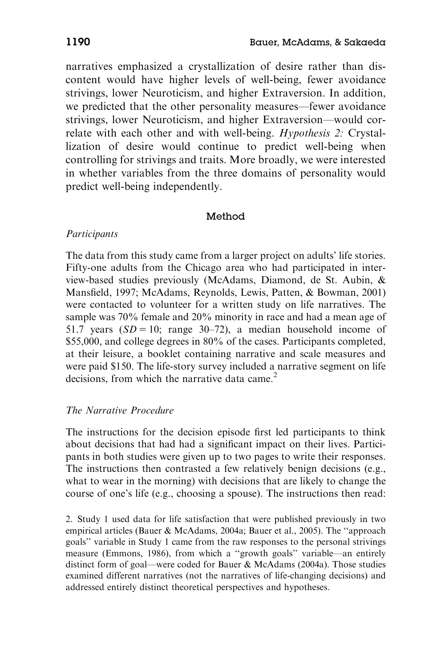narratives emphasized a crystallization of desire rather than discontent would have higher levels of well-being, fewer avoidance strivings, lower Neuroticism, and higher Extraversion. In addition, we predicted that the other personality measures—fewer avoidance strivings, lower Neuroticism, and higher Extraversion—would correlate with each other and with well-being. Hypothesis 2: Crystallization of desire would continue to predict well-being when controlling for strivings and traits. More broadly, we were interested in whether variables from the three domains of personality would predict well-being independently.

#### Method

#### Participants

The data from this study came from a larger project on adults' life stories. Fifty-one adults from the Chicago area who had participated in interview-based studies previously (McAdams, Diamond, de St. Aubin, & Mansfield, 1997; McAdams, Reynolds, Lewis, Patten, & Bowman, 2001) were contacted to volunteer for a written study on life narratives. The sample was 70% female and 20% minority in race and had a mean age of 51.7 years  $(SD = 10; \text{ range } 30-72)$ , a median household income of \$55,000, and college degrees in 80% of the cases. Participants completed, at their leisure, a booklet containing narrative and scale measures and were paid \$150. The life-story survey included a narrative segment on life decisions, from which the narrative data came.<sup>2</sup>

## The Narrative Procedure

The instructions for the decision episode first led participants to think about decisions that had had a significant impact on their lives. Participants in both studies were given up to two pages to write their responses. The instructions then contrasted a few relatively benign decisions (e.g., what to wear in the morning) with decisions that are likely to change the course of one's life (e.g., choosing a spouse). The instructions then read:

2. Study 1 used data for life satisfaction that were published previously in two empirical articles (Bauer & McAdams, 2004a; Bauer et al., 2005). The ''approach goals'' variable in Study 1 came from the raw responses to the personal strivings measure (Emmons, 1986), from which a ''growth goals'' variable—an entirely distinct form of goal—were coded for Bauer & McAdams (2004a). Those studies examined different narratives (not the narratives of life-changing decisions) and addressed entirely distinct theoretical perspectives and hypotheses.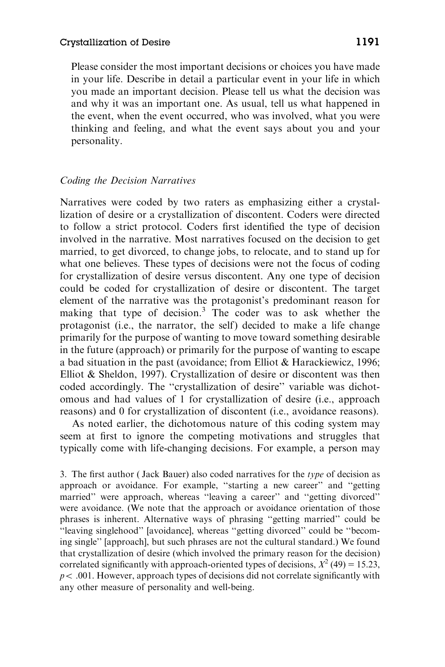Please consider the most important decisions or choices you have made in your life. Describe in detail a particular event in your life in which you made an important decision. Please tell us what the decision was and why it was an important one. As usual, tell us what happened in the event, when the event occurred, who was involved, what you were thinking and feeling, and what the event says about you and your personality.

#### Coding the Decision Narratives

Narratives were coded by two raters as emphasizing either a crystallization of desire or a crystallization of discontent. Coders were directed to follow a strict protocol. Coders first identified the type of decision involved in the narrative. Most narratives focused on the decision to get married, to get divorced, to change jobs, to relocate, and to stand up for what one believes. These types of decisions were not the focus of coding for crystallization of desire versus discontent. Any one type of decision could be coded for crystallization of desire or discontent. The target element of the narrative was the protagonist's predominant reason for making that type of decision.<sup>3</sup> The coder was to ask whether the protagonist (i.e., the narrator, the self) decided to make a life change primarily for the purpose of wanting to move toward something desirable in the future (approach) or primarily for the purpose of wanting to escape a bad situation in the past (avoidance; from Elliot & Harackiewicz, 1996; Elliot & Sheldon, 1997). Crystallization of desire or discontent was then coded accordingly. The ''crystallization of desire'' variable was dichotomous and had values of 1 for crystallization of desire (i.e., approach reasons) and 0 for crystallization of discontent (i.e., avoidance reasons).

As noted earlier, the dichotomous nature of this coding system may seem at first to ignore the competing motivations and struggles that typically come with life-changing decisions. For example, a person may

3. The first author ( Jack Bauer) also coded narratives for the type of decision as approach or avoidance. For example, ''starting a new career'' and ''getting married'' were approach, whereas ''leaving a career'' and ''getting divorced'' were avoidance. (We note that the approach or avoidance orientation of those phrases is inherent. Alternative ways of phrasing ''getting married'' could be ''leaving singlehood'' [avoidance], whereas ''getting divorced'' could be ''becoming single'' [approach], but such phrases are not the cultural standard.) We found that crystallization of desire (which involved the primary reason for the decision) correlated significantly with approach-oriented types of decisions,  $X^2$  (49) = 15.23,  $p<.001$ . However, approach types of decisions did not correlate significantly with any other measure of personality and well-being.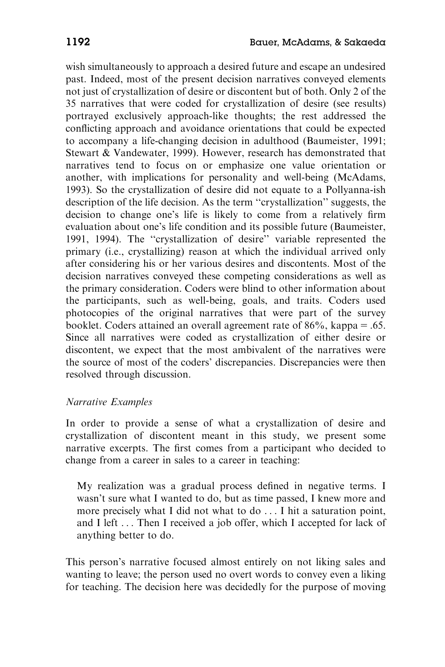wish simultaneously to approach a desired future and escape an undesired past. Indeed, most of the present decision narratives conveyed elements not just of crystallization of desire or discontent but of both. Only 2 of the 35 narratives that were coded for crystallization of desire (see results) portrayed exclusively approach-like thoughts; the rest addressed the conflicting approach and avoidance orientations that could be expected to accompany a life-changing decision in adulthood (Baumeister, 1991; Stewart & Vandewater, 1999). However, research has demonstrated that narratives tend to focus on or emphasize one value orientation or another, with implications for personality and well-being (McAdams, 1993). So the crystallization of desire did not equate to a Pollyanna-ish description of the life decision. As the term ''crystallization'' suggests, the decision to change one's life is likely to come from a relatively firm evaluation about one's life condition and its possible future (Baumeister, 1991, 1994). The ''crystallization of desire'' variable represented the primary (i.e., crystallizing) reason at which the individual arrived only after considering his or her various desires and discontents. Most of the decision narratives conveyed these competing considerations as well as the primary consideration. Coders were blind to other information about the participants, such as well-being, goals, and traits. Coders used photocopies of the original narratives that were part of the survey booklet. Coders attained an overall agreement rate of  $86\%$ , kappa = .65. Since all narratives were coded as crystallization of either desire or discontent, we expect that the most ambivalent of the narratives were the source of most of the coders' discrepancies. Discrepancies were then resolved through discussion.

## Narrative Examples

In order to provide a sense of what a crystallization of desire and crystallization of discontent meant in this study, we present some narrative excerpts. The first comes from a participant who decided to change from a career in sales to a career in teaching:

My realization was a gradual process defined in negative terms. I wasn't sure what I wanted to do, but as time passed, I knew more and more precisely what I did not what to do . . . I hit a saturation point, and I left . . . Then I received a job offer, which I accepted for lack of anything better to do.

This person's narrative focused almost entirely on not liking sales and wanting to leave; the person used no overt words to convey even a liking for teaching. The decision here was decidedly for the purpose of moving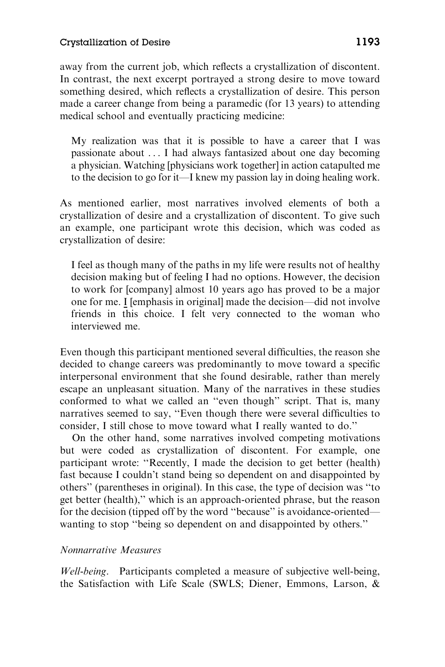away from the current job, which reflects a crystallization of discontent. In contrast, the next excerpt portrayed a strong desire to move toward something desired, which reflects a crystallization of desire. This person made a career change from being a paramedic (for 13 years) to attending medical school and eventually practicing medicine:

My realization was that it is possible to have a career that I was passionate about . . . I had always fantasized about one day becoming a physician. Watching [physicians work together] in action catapulted me to the decision to go for it—I knew my passion lay in doing healing work.

As mentioned earlier, most narratives involved elements of both a crystallization of desire and a crystallization of discontent. To give such an example, one participant wrote this decision, which was coded as crystallization of desire:

I feel as though many of the paths in my life were results not of healthy decision making but of feeling I had no options. However, the decision to work for [company] almost 10 years ago has proved to be a major one for me. I [emphasis in original] made the decision—did not involve friends in this choice. I felt very connected to the woman who interviewed me.

Even though this participant mentioned several difficulties, the reason she decided to change careers was predominantly to move toward a specific interpersonal environment that she found desirable, rather than merely escape an unpleasant situation. Many of the narratives in these studies conformed to what we called an ''even though'' script. That is, many narratives seemed to say, ''Even though there were several difficulties to consider, I still chose to move toward what I really wanted to do.''

On the other hand, some narratives involved competing motivations but were coded as crystallization of discontent. For example, one participant wrote: ''Recently, I made the decision to get better (health) fast because I couldn't stand being so dependent on and disappointed by others'' (parentheses in original). In this case, the type of decision was ''to get better (health),'' which is an approach-oriented phrase, but the reason for the decision (tipped off by the word ''because'' is avoidance-oriented wanting to stop ''being so dependent on and disappointed by others.''

## Nonnarrative Measures

Well-being. Participants completed a measure of subjective well-being, the Satisfaction with Life Scale (SWLS; Diener, Emmons, Larson, &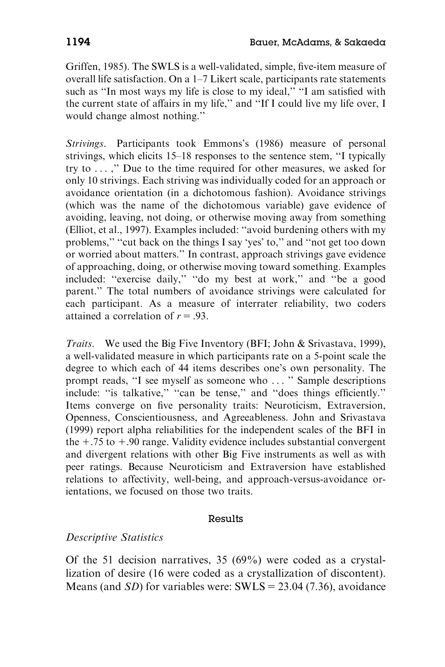Griffen, 1985). The SWLS is a well-validated, simple, five-item measure of overall life satisfaction. On a 1–7 Likert scale, participants rate statements such as ''In most ways my life is close to my ideal,'' ''I am satisfied with the current state of affairs in my life,'' and ''If I could live my life over, I would change almost nothing.''

Strivings. Participants took Emmons's (1986) measure of personal strivings, which elicits 15–18 responses to the sentence stem, ''I typically try to  $\dots$ ," Due to the time required for other measures, we asked for only 10 strivings. Each striving was individually coded for an approach or avoidance orientation (in a dichotomous fashion). Avoidance strivings (which was the name of the dichotomous variable) gave evidence of avoiding, leaving, not doing, or otherwise moving away from something (Elliot, et al., 1997). Examples included: ''avoid burdening others with my problems,'' ''cut back on the things I say 'yes' to,'' and ''not get too down or worried about matters.'' In contrast, approach strivings gave evidence of approaching, doing, or otherwise moving toward something. Examples included: ''exercise daily,'' ''do my best at work,'' and ''be a good parent.'' The total numbers of avoidance strivings were calculated for each participant. As a measure of interrater reliability, two coders attained a correlation of  $r = .93$ .

Traits. We used the Big Five Inventory (BFI; John & Srivastava, 1999), a well-validated measure in which participants rate on a 5-point scale the degree to which each of 44 items describes one's own personality. The prompt reads, ''I see myself as someone who . . . '' Sample descriptions include: ''is talkative,'' ''can be tense,'' and ''does things efficiently.'' Items converge on five personality traits: Neuroticism, Extraversion, Openness, Conscientiousness, and Agreeableness. John and Srivastava (1999) report alpha reliabilities for the independent scales of the BFI in the  $+.75$  to  $+.90$  range. Validity evidence includes substantial convergent and divergent relations with other Big Five instruments as well as with peer ratings. Because Neuroticism and Extraversion have established relations to affectivity, well-being, and approach-versus-avoidance orientations, we focused on those two traits.

## Results

## Descriptive Statistics

Of the 51 decision narratives, 35 (69%) were coded as a crystallization of desire (16 were coded as a crystallization of discontent). Means (and  $SD$ ) for variables were: SWLS = 23.04 (7.36), avoidance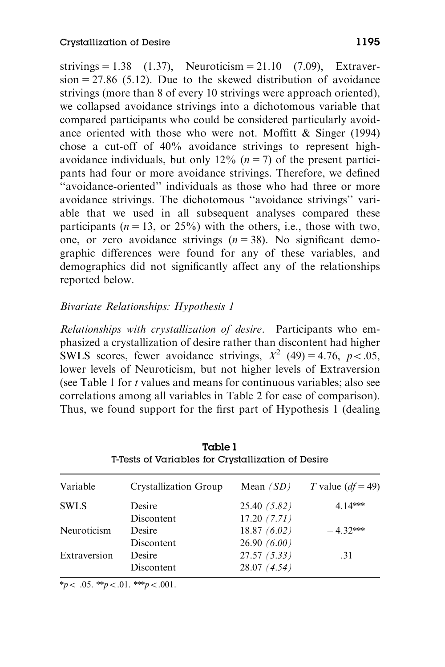strivings  $= 1.38$  (1.37), Neuroticism  $= 21.10$  (7.09), Extraver $sion = 27.86$  (5.12). Due to the skewed distribution of avoidance strivings (more than 8 of every 10 strivings were approach oriented), we collapsed avoidance strivings into a dichotomous variable that compared participants who could be considered particularly avoidance oriented with those who were not. Moffitt & Singer (1994) chose a cut-off of 40% avoidance strivings to represent highavoidance individuals, but only 12%  $(n = 7)$  of the present participants had four or more avoidance strivings. Therefore, we defined ''avoidance-oriented'' individuals as those who had three or more avoidance strivings. The dichotomous ''avoidance strivings'' variable that we used in all subsequent analyses compared these participants ( $n = 13$ , or 25%) with the others, i.e., those with two, one, or zero avoidance strivings  $(n = 38)$ . No significant demographic differences were found for any of these variables, and demographics did not significantly affect any of the relationships reported below.

# Bivariate Relationships: Hypothesis 1

Relationships with crystallization of desire. Participants who emphasized a crystallization of desire rather than discontent had higher SWLS scores, fewer avoidance strivings,  $X^2$  (49) = 4.76, p < 0.05, lower levels of Neuroticism, but not higher levels of Extraversion (see Table 1 for t values and means for continuous variables; also see correlations among all variables in Table 2 for ease of comparison). Thus, we found support for the first part of Hypothesis 1 (dealing

| Variable     | Crystallization Group | Mean $(SD)$ | T value $(df = 49)$ |
|--------------|-----------------------|-------------|---------------------|
| <b>SWLS</b>  | Desire                | 25.40(5.82) | $4.14***$           |
|              | <b>Discontent</b>     | 17.20(7.71) |                     |
| Neuroticism  | Desire                | 18.87(6.02) | $-4.32***$          |
|              | Discontent            | 26.90(6.00) |                     |
| Extraversion | Desire                | 27.57(5.33) | $-.31$              |
|              | Discontent            | 28.07(4.54) |                     |

Table 1 T-Tests of Variables for Crystallization of Desire

 $np < .05.$  \*\* $p < .01.$  \*\*\* $p < .001.$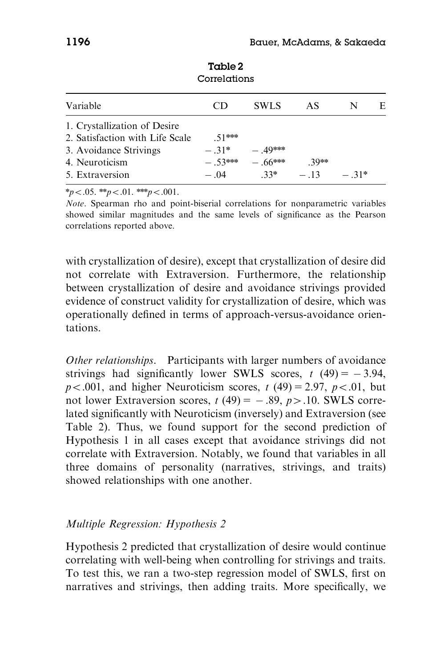| Corretations                    |         |                     |         |         |   |  |  |
|---------------------------------|---------|---------------------|---------|---------|---|--|--|
| Variable                        |         | <b>SWLS</b>         | AS      | N       | E |  |  |
| 1. Crystallization of Desire    |         |                     |         |         |   |  |  |
| 2. Satisfaction with Life Scale | $51***$ |                     |         |         |   |  |  |
| 3. Avoidance Strivings          | $-.31*$ | $-.49***$           |         |         |   |  |  |
| 4. Neuroticism                  |         | $-.53***$ $-.66***$ | $.39**$ |         |   |  |  |
| 5. Extraversion                 | $-.04$  | $33*$               | $-13$   | $-.31*$ |   |  |  |

Table 2  $\sim$  correlations of  $\sim$ 

\* $p < .05.$  \*\* $p < .01.$  \*\*\* $p < .001.$ 

Note. Spearman rho and point-biserial correlations for nonparametric variables showed similar magnitudes and the same levels of significance as the Pearson correlations reported above.

with crystallization of desire), except that crystallization of desire did not correlate with Extraversion. Furthermore, the relationship between crystallization of desire and avoidance strivings provided evidence of construct validity for crystallization of desire, which was operationally defined in terms of approach-versus-avoidance orientations.

Other relationships. Participants with larger numbers of avoidance strivings had significantly lower SWLS scores,  $t$  (49) =  $-3.94$ ,  $p<.001$ , and higher Neuroticism scores, t (49) = 2.97,  $p<.01$ , but not lower Extraversion scores,  $t(49) = -.89, p > .10$ . SWLS correlated significantly with Neuroticism (inversely) and Extraversion (see Table 2). Thus, we found support for the second prediction of Hypothesis 1 in all cases except that avoidance strivings did not correlate with Extraversion. Notably, we found that variables in all three domains of personality (narratives, strivings, and traits) showed relationships with one another.

## Multiple Regression: Hypothesis 2

Hypothesis 2 predicted that crystallization of desire would continue correlating with well-being when controlling for strivings and traits. To test this, we ran a two-step regression model of SWLS, first on narratives and strivings, then adding traits. More specifically, we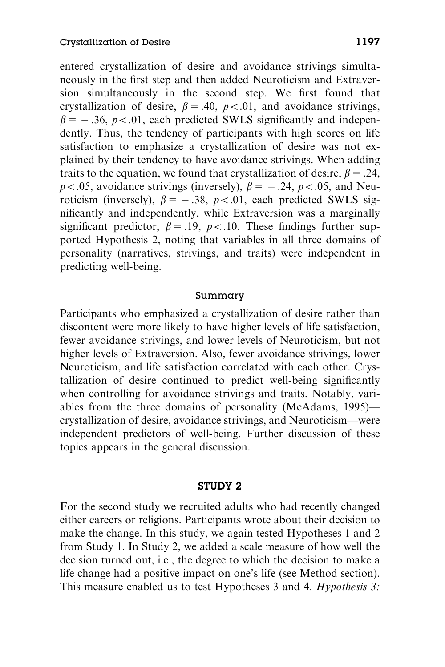entered crystallization of desire and avoidance strivings simultaneously in the first step and then added Neuroticism and Extraversion simultaneously in the second step. We first found that crystallization of desire,  $\beta = .40$ ,  $p < .01$ , and avoidance strivings,  $\beta$  = -.36, p <.01, each predicted SWLS significantly and independently. Thus, the tendency of participants with high scores on life satisfaction to emphasize a crystallization of desire was not explained by their tendency to have avoidance strivings. When adding traits to the equation, we found that crystallization of desire,  $\beta = .24$ ,  $p<.05$ , avoidance strivings (inversely),  $\beta = -.24$ ,  $p<.05$ , and Neuroticism (inversely),  $\beta$  = -.38, p <.01, each predicted SWLS significantly and independently, while Extraversion was a marginally significant predictor,  $\beta = .19$ ,  $p < .10$ . These findings further supported Hypothesis 2, noting that variables in all three domains of personality (narratives, strivings, and traits) were independent in predicting well-being.

#### Summary

Participants who emphasized a crystallization of desire rather than discontent were more likely to have higher levels of life satisfaction, fewer avoidance strivings, and lower levels of Neuroticism, but not higher levels of Extraversion. Also, fewer avoidance strivings, lower Neuroticism, and life satisfaction correlated with each other. Crystallization of desire continued to predict well-being significantly when controlling for avoidance strivings and traits. Notably, variables from the three domains of personality (McAdams, 1995) crystallization of desire, avoidance strivings, and Neuroticism—were independent predictors of well-being. Further discussion of these topics appears in the general discussion.

#### STUDY 2

For the second study we recruited adults who had recently changed either careers or religions. Participants wrote about their decision to make the change. In this study, we again tested Hypotheses 1 and 2 from Study 1. In Study 2, we added a scale measure of how well the decision turned out, i.e., the degree to which the decision to make a life change had a positive impact on one's life (see Method section). This measure enabled us to test Hypotheses 3 and 4. Hypothesis 3: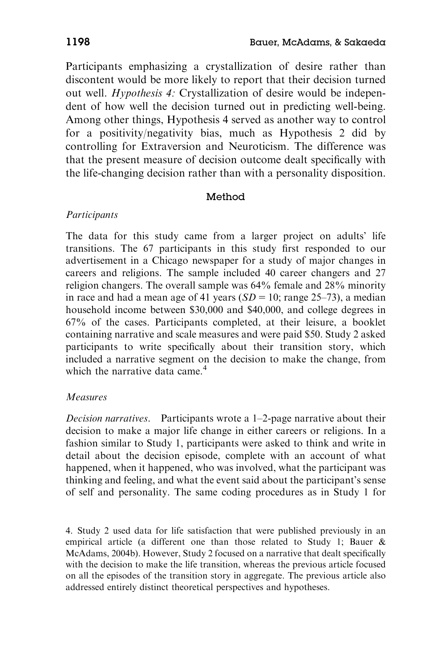Participants emphasizing a crystallization of desire rather than discontent would be more likely to report that their decision turned out well. Hypothesis 4: Crystallization of desire would be independent of how well the decision turned out in predicting well-being. Among other things, Hypothesis 4 served as another way to control for a positivity/negativity bias, much as Hypothesis 2 did by controlling for Extraversion and Neuroticism. The difference was that the present measure of decision outcome dealt specifically with the life-changing decision rather than with a personality disposition.

#### Method

## Participants

The data for this study came from a larger project on adults' life transitions. The 67 participants in this study first responded to our advertisement in a Chicago newspaper for a study of major changes in careers and religions. The sample included 40 career changers and 27 religion changers. The overall sample was 64% female and 28% minority in race and had a mean age of 41 years  $(SD = 10; \text{ range } 25-73)$ , a median household income between \$30,000 and \$40,000, and college degrees in 67% of the cases. Participants completed, at their leisure, a booklet containing narrative and scale measures and were paid \$50. Study 2 asked participants to write specifically about their transition story, which included a narrative segment on the decision to make the change, from which the narrative data came.<sup>4</sup>

## Measures

*Decision narratives.* Participants wrote a  $1-2$ -page narrative about their decision to make a major life change in either careers or religions. In a fashion similar to Study 1, participants were asked to think and write in detail about the decision episode, complete with an account of what happened, when it happened, who was involved, what the participant was thinking and feeling, and what the event said about the participant's sense of self and personality. The same coding procedures as in Study 1 for

4. Study 2 used data for life satisfaction that were published previously in an empirical article (a different one than those related to Study 1; Bauer & McAdams, 2004b). However, Study 2 focused on a narrative that dealt specifically with the decision to make the life transition, whereas the previous article focused on all the episodes of the transition story in aggregate. The previous article also addressed entirely distinct theoretical perspectives and hypotheses.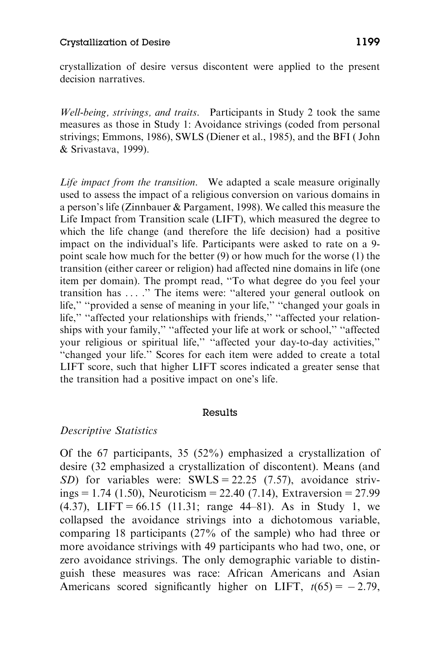crystallization of desire versus discontent were applied to the present decision narratives.

Well-being, strivings, and traits. Participants in Study 2 took the same measures as those in Study 1: Avoidance strivings (coded from personal strivings; Emmons, 1986), SWLS (Diener et al., 1985), and the BFI ( John & Srivastava, 1999).

Life impact from the transition. We adapted a scale measure originally used to assess the impact of a religious conversion on various domains in a person's life (Zinnbauer & Pargament, 1998). We called this measure the Life Impact from Transition scale (LIFT), which measured the degree to which the life change (and therefore the life decision) had a positive impact on the individual's life. Participants were asked to rate on a 9 point scale how much for the better (9) or how much for the worse (1) the transition (either career or religion) had affected nine domains in life (one item per domain). The prompt read, ''To what degree do you feel your transition has . . . .'' The items were: ''altered your general outlook on life," "provided a sense of meaning in your life," "changed your goals in life," "affected your relationships with friends," "affected your relationships with your family,'' ''affected your life at work or school,'' ''affected your religious or spiritual life," "affected your day-to-day activities," ''changed your life.'' Scores for each item were added to create a total LIFT score, such that higher LIFT scores indicated a greater sense that the transition had a positive impact on one's life.

## Results

## Descriptive Statistics

Of the 67 participants, 35 (52%) emphasized a crystallization of desire (32 emphasized a crystallization of discontent). Means (and SD) for variables were: SWLS = 22.25 (7.57), avoidance strivings = 1.74 (1.50), Neuroticism = 22.40 (7.14), Extraversion =  $27.99$  $(4.37)$ , LIFT = 66.15 (11.31; range 44–81). As in Study 1, we collapsed the avoidance strivings into a dichotomous variable, comparing 18 participants (27% of the sample) who had three or more avoidance strivings with 49 participants who had two, one, or zero avoidance strivings. The only demographic variable to distinguish these measures was race: African Americans and Asian Americans scored significantly higher on LIFT,  $t(65) = -2.79$ ,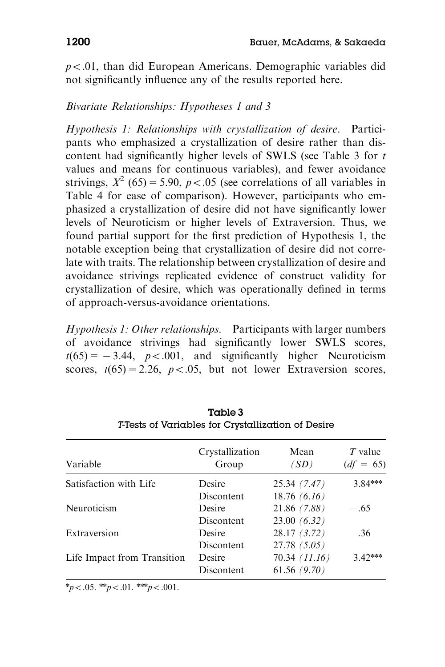$p<.01$ , than did European Americans. Demographic variables did not significantly influence any of the results reported here.

# Bivariate Relationships: Hypotheses 1 and 3

Hypothesis 1: Relationships with crystallization of desire. Participants who emphasized a crystallization of desire rather than discontent had significantly higher levels of SWLS (see Table 3 for t values and means for continuous variables), and fewer avoidance strivings,  $X^2$  (65) = 5.90, p < 0.05 (see correlations of all variables in Table 4 for ease of comparison). However, participants who emphasized a crystallization of desire did not have significantly lower levels of Neuroticism or higher levels of Extraversion. Thus, we found partial support for the first prediction of Hypothesis 1, the notable exception being that crystallization of desire did not correlate with traits. The relationship between crystallization of desire and avoidance strivings replicated evidence of construct validity for crystallization of desire, which was operationally defined in terms of approach-versus-avoidance orientations.

Hypothesis 1: Other relationships. Participants with larger numbers of avoidance strivings had significantly lower SWLS scores,  $t(65) = -3.44$ ,  $p < .001$ , and significantly higher Neuroticism scores,  $t(65) = 2.26$ ,  $p < .05$ , but not lower Extraversion scores,

| <u>I ICSIS OI VANADICS IOI OIVSKIMMANDII OI DOSNO</u> |                 |                        |  |  |
|-------------------------------------------------------|-----------------|------------------------|--|--|
| Group                                                 | (SD)            | T value<br>$(df = 65)$ |  |  |
| Desire                                                | 25.34(7.47)     | 3.84***                |  |  |
| Discontent                                            | 18.76(6.16)     |                        |  |  |
| Desire                                                | 21.86 (7.88)    | $-.65$                 |  |  |
| Discontent                                            | 23.00(6.32)     |                        |  |  |
| Desire                                                | 28.17(3.72)     | .36                    |  |  |
| Discontent                                            | 27.78(5.05)     |                        |  |  |
| Desire                                                | 70.34 (11.16)   | $3.42***$              |  |  |
| Discontent                                            | 61.56(9.70)     |                        |  |  |
|                                                       | Crystallization | Mean                   |  |  |

Table 3 <sup>T</sup>-Tests of Variables for Crystallization of Desire

 $np<.05.$  \*\* $p<.01.$  \*\*\* $p<.001.$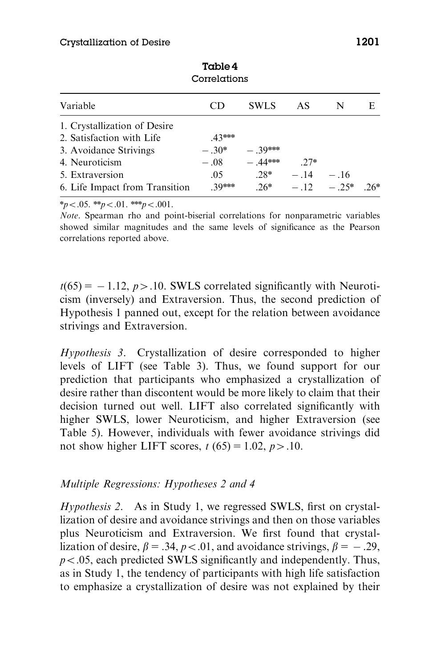| Variable                       | CD.     | <b>SWLS</b> | AS     |               | E     |  |
|--------------------------------|---------|-------------|--------|---------------|-------|--|
| 1. Crystallization of Desire   |         |             |        |               |       |  |
| 2. Satisfaction with Life      | $43***$ |             |        |               |       |  |
| 3. Avoidance Strivings         | $-.30*$ | $-.39***$   |        |               |       |  |
| 4. Neuroticism                 | $-.08$  | $-.44***$   | $27*$  |               |       |  |
| 5. Extraversion                | .05     | $.28*$      | $-.14$ | $-.16$        |       |  |
| 6. Life Impact from Transition | 39***   | $.26*$      |        | $-.12 - .25*$ | $26*$ |  |

Table 4 Correlations

\* $p < .05.$  \*\* $p < .01.$  \*\*\* $p < .001.$ 

Note. Spearman rho and point-biserial correlations for nonparametric variables showed similar magnitudes and the same levels of significance as the Pearson correlations reported above.

 $t(65) = -1.12$ ,  $p > 0.10$ . SWLS correlated significantly with Neuroticism (inversely) and Extraversion. Thus, the second prediction of Hypothesis 1 panned out, except for the relation between avoidance strivings and Extraversion.

Hypothesis 3. Crystallization of desire corresponded to higher levels of LIFT (see Table 3). Thus, we found support for our prediction that participants who emphasized a crystallization of desire rather than discontent would be more likely to claim that their decision turned out well. LIFT also correlated significantly with higher SWLS, lower Neuroticism, and higher Extraversion (see Table 5). However, individuals with fewer avoidance strivings did not show higher LIFT scores,  $t (65) = 1.02$ ,  $p > 1.10$ .

## Multiple Regressions: Hypotheses 2 and 4

Hypothesis 2. As in Study 1, we regressed SWLS, first on crystallization of desire and avoidance strivings and then on those variables plus Neuroticism and Extraversion. We first found that crystallization of desire,  $\beta = .34$ ,  $p < .01$ , and avoidance strivings,  $\beta = -.29$ ,  $p<.05$ , each predicted SWLS significantly and independently. Thus, as in Study 1, the tendency of participants with high life satisfaction to emphasize a crystallization of desire was not explained by their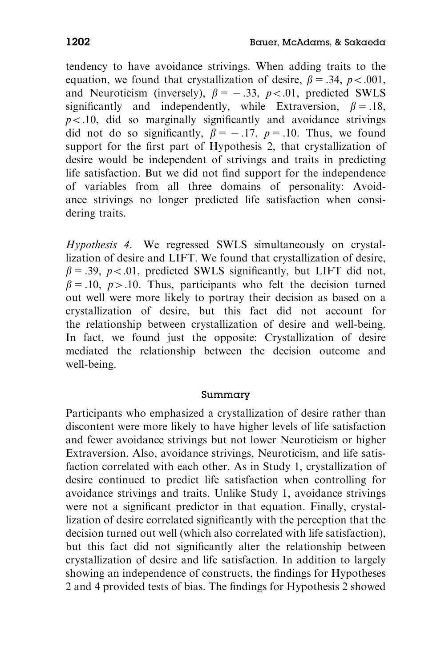tendency to have avoidance strivings. When adding traits to the equation, we found that crystallization of desire,  $\beta = .34$ ,  $p < .001$ , and Neuroticism (inversely),  $\beta = -.33$ ,  $p < .01$ , predicted SWLS significantly and independently, while Extraversion,  $\beta = .18$ ,  $p<.10$ , did so marginally significantly and avoidance strivings did not do so significantly,  $\beta = -0.17$ ,  $p = 0.10$ . Thus, we found support for the first part of Hypothesis 2, that crystallization of desire would be independent of strivings and traits in predicting life satisfaction. But we did not find support for the independence of variables from all three domains of personality: Avoidance strivings no longer predicted life satisfaction when considering traits.

Hypothesis 4. We regressed SWLS simultaneously on crystallization of desire and LIFT. We found that crystallization of desire,  $\beta = .39$ ,  $p < .01$ , predicted SWLS significantly, but LIFT did not,  $\beta = .10$ ,  $p > .10$ . Thus, participants who felt the decision turned out well were more likely to portray their decision as based on a crystallization of desire, but this fact did not account for the relationship between crystallization of desire and well-being. In fact, we found just the opposite: Crystallization of desire mediated the relationship between the decision outcome and well-being.

## Summary

Participants who emphasized a crystallization of desire rather than discontent were more likely to have higher levels of life satisfaction and fewer avoidance strivings but not lower Neuroticism or higher Extraversion. Also, avoidance strivings, Neuroticism, and life satisfaction correlated with each other. As in Study 1, crystallization of desire continued to predict life satisfaction when controlling for avoidance strivings and traits. Unlike Study 1, avoidance strivings were not a significant predictor in that equation. Finally, crystallization of desire correlated significantly with the perception that the decision turned out well (which also correlated with life satisfaction), but this fact did not significantly alter the relationship between crystallization of desire and life satisfaction. In addition to largely showing an independence of constructs, the findings for Hypotheses 2 and 4 provided tests of bias. The findings for Hypothesis 2 showed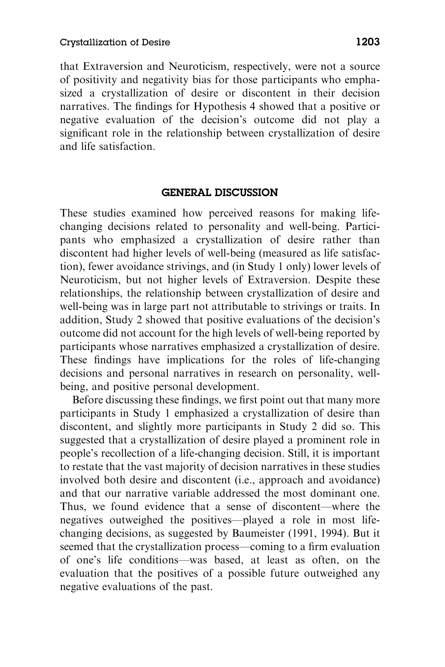that Extraversion and Neuroticism, respectively, were not a source of positivity and negativity bias for those participants who emphasized a crystallization of desire or discontent in their decision narratives. The findings for Hypothesis 4 showed that a positive or negative evaluation of the decision's outcome did not play a significant role in the relationship between crystallization of desire and life satisfaction.

## GENERAL DISCUSSION

These studies examined how perceived reasons for making lifechanging decisions related to personality and well-being. Participants who emphasized a crystallization of desire rather than discontent had higher levels of well-being (measured as life satisfaction), fewer avoidance strivings, and (in Study 1 only) lower levels of Neuroticism, but not higher levels of Extraversion. Despite these relationships, the relationship between crystallization of desire and well-being was in large part not attributable to strivings or traits. In addition, Study 2 showed that positive evaluations of the decision's outcome did not account for the high levels of well-being reported by participants whose narratives emphasized a crystallization of desire. These findings have implications for the roles of life-changing decisions and personal narratives in research on personality, wellbeing, and positive personal development.

Before discussing these findings, we first point out that many more participants in Study 1 emphasized a crystallization of desire than discontent, and slightly more participants in Study 2 did so. This suggested that a crystallization of desire played a prominent role in people's recollection of a life-changing decision. Still, it is important to restate that the vast majority of decision narratives in these studies involved both desire and discontent (i.e., approach and avoidance) and that our narrative variable addressed the most dominant one. Thus, we found evidence that a sense of discontent—where the negatives outweighed the positives—played a role in most lifechanging decisions, as suggested by Baumeister (1991, 1994). But it seemed that the crystallization process—coming to a firm evaluation of one's life conditions—was based, at least as often, on the evaluation that the positives of a possible future outweighed any negative evaluations of the past.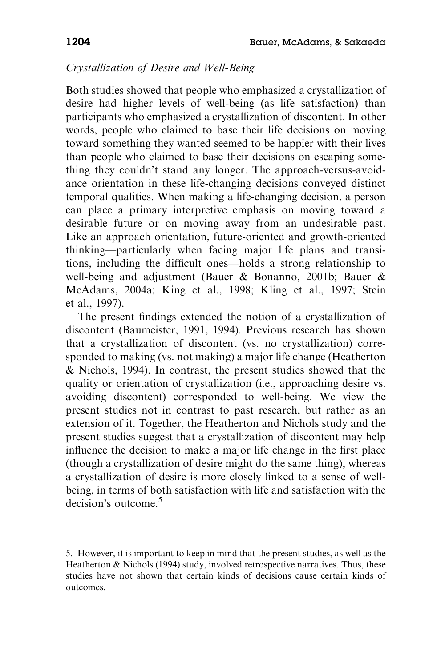# Crystallization of Desire and Well-Being

Both studies showed that people who emphasized a crystallization of desire had higher levels of well-being (as life satisfaction) than participants who emphasized a crystallization of discontent. In other words, people who claimed to base their life decisions on moving toward something they wanted seemed to be happier with their lives than people who claimed to base their decisions on escaping something they couldn't stand any longer. The approach-versus-avoidance orientation in these life-changing decisions conveyed distinct temporal qualities. When making a life-changing decision, a person can place a primary interpretive emphasis on moving toward a desirable future or on moving away from an undesirable past. Like an approach orientation, future-oriented and growth-oriented thinking—particularly when facing major life plans and transitions, including the difficult ones—holds a strong relationship to well-being and adjustment (Bauer & Bonanno, 2001b; Bauer & McAdams, 2004a; King et al., 1998; Kling et al., 1997; Stein et al., 1997).

The present findings extended the notion of a crystallization of discontent (Baumeister, 1991, 1994). Previous research has shown that a crystallization of discontent (vs. no crystallization) corresponded to making (vs. not making) a major life change (Heatherton & Nichols, 1994). In contrast, the present studies showed that the quality or orientation of crystallization (i.e., approaching desire vs. avoiding discontent) corresponded to well-being. We view the present studies not in contrast to past research, but rather as an extension of it. Together, the Heatherton and Nichols study and the present studies suggest that a crystallization of discontent may help influence the decision to make a major life change in the first place (though a crystallization of desire might do the same thing), whereas a crystallization of desire is more closely linked to a sense of wellbeing, in terms of both satisfaction with life and satisfaction with the decision's outcome.<sup>5</sup>

5. However, it is important to keep in mind that the present studies, as well as the Heatherton & Nichols (1994) study, involved retrospective narratives. Thus, these studies have not shown that certain kinds of decisions cause certain kinds of outcomes.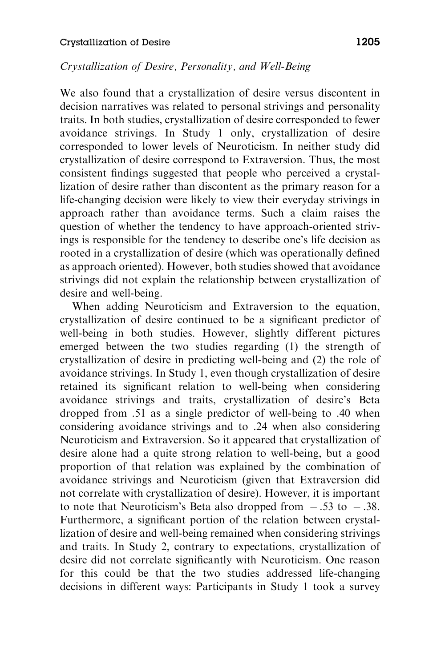## Crystallization of Desire, Personality, and Well-Being

We also found that a crystallization of desire versus discontent in decision narratives was related to personal strivings and personality traits. In both studies, crystallization of desire corresponded to fewer avoidance strivings. In Study 1 only, crystallization of desire corresponded to lower levels of Neuroticism. In neither study did crystallization of desire correspond to Extraversion. Thus, the most consistent findings suggested that people who perceived a crystallization of desire rather than discontent as the primary reason for a life-changing decision were likely to view their everyday strivings in approach rather than avoidance terms. Such a claim raises the question of whether the tendency to have approach-oriented strivings is responsible for the tendency to describe one's life decision as rooted in a crystallization of desire (which was operationally defined as approach oriented). However, both studies showed that avoidance strivings did not explain the relationship between crystallization of desire and well-being.

When adding Neuroticism and Extraversion to the equation, crystallization of desire continued to be a significant predictor of well-being in both studies. However, slightly different pictures emerged between the two studies regarding (1) the strength of crystallization of desire in predicting well-being and (2) the role of avoidance strivings. In Study 1, even though crystallization of desire retained its significant relation to well-being when considering avoidance strivings and traits, crystallization of desire's Beta dropped from .51 as a single predictor of well-being to .40 when considering avoidance strivings and to .24 when also considering Neuroticism and Extraversion. So it appeared that crystallization of desire alone had a quite strong relation to well-being, but a good proportion of that relation was explained by the combination of avoidance strivings and Neuroticism (given that Extraversion did not correlate with crystallization of desire). However, it is important to note that Neuroticism's Beta also dropped from  $-.53$  to  $-.38$ . Furthermore, a significant portion of the relation between crystallization of desire and well-being remained when considering strivings and traits. In Study 2, contrary to expectations, crystallization of desire did not correlate significantly with Neuroticism. One reason for this could be that the two studies addressed life-changing decisions in different ways: Participants in Study 1 took a survey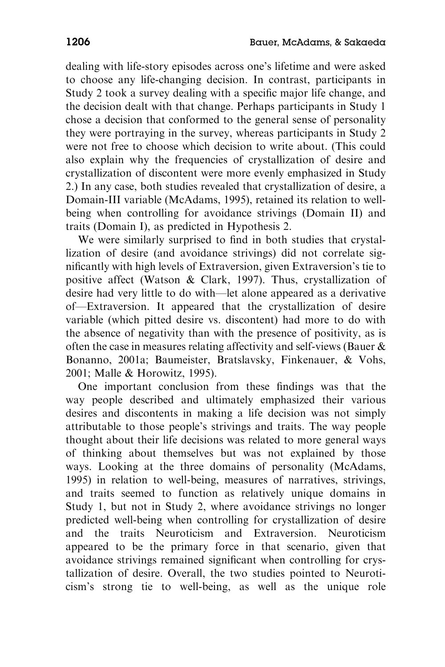dealing with life-story episodes across one's lifetime and were asked to choose any life-changing decision. In contrast, participants in Study 2 took a survey dealing with a specific major life change, and the decision dealt with that change. Perhaps participants in Study 1 chose a decision that conformed to the general sense of personality they were portraying in the survey, whereas participants in Study 2 were not free to choose which decision to write about. (This could also explain why the frequencies of crystallization of desire and crystallization of discontent were more evenly emphasized in Study 2.) In any case, both studies revealed that crystallization of desire, a Domain-III variable (McAdams, 1995), retained its relation to wellbeing when controlling for avoidance strivings (Domain II) and traits (Domain I), as predicted in Hypothesis 2.

We were similarly surprised to find in both studies that crystallization of desire (and avoidance strivings) did not correlate significantly with high levels of Extraversion, given Extraversion's tie to positive affect (Watson & Clark, 1997). Thus, crystallization of desire had very little to do with—let alone appeared as a derivative of—Extraversion. It appeared that the crystallization of desire variable (which pitted desire vs. discontent) had more to do with the absence of negativity than with the presence of positivity, as is often the case in measures relating affectivity and self-views (Bauer  $\&$ Bonanno, 2001a; Baumeister, Bratslavsky, Finkenauer, & Vohs, 2001; Malle & Horowitz, 1995).

One important conclusion from these findings was that the way people described and ultimately emphasized their various desires and discontents in making a life decision was not simply attributable to those people's strivings and traits. The way people thought about their life decisions was related to more general ways of thinking about themselves but was not explained by those ways. Looking at the three domains of personality (McAdams, 1995) in relation to well-being, measures of narratives, strivings, and traits seemed to function as relatively unique domains in Study 1, but not in Study 2, where avoidance strivings no longer predicted well-being when controlling for crystallization of desire and the traits Neuroticism and Extraversion. Neuroticism appeared to be the primary force in that scenario, given that avoidance strivings remained significant when controlling for crystallization of desire. Overall, the two studies pointed to Neuroticism's strong tie to well-being, as well as the unique role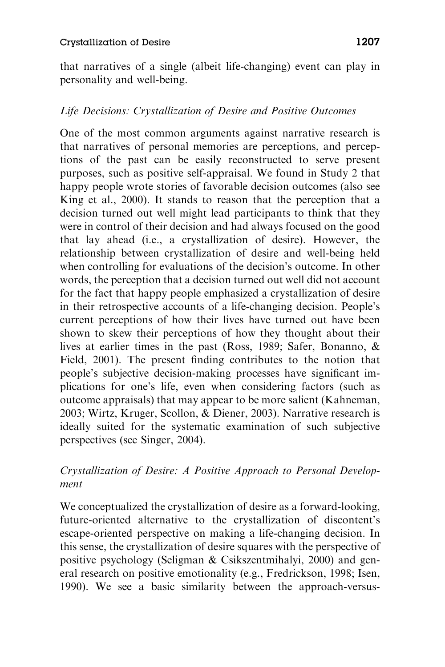that narratives of a single (albeit life-changing) event can play in personality and well-being.

# Life Decisions: Crystallization of Desire and Positive Outcomes

One of the most common arguments against narrative research is that narratives of personal memories are perceptions, and perceptions of the past can be easily reconstructed to serve present purposes, such as positive self-appraisal. We found in Study 2 that happy people wrote stories of favorable decision outcomes (also see King et al., 2000). It stands to reason that the perception that a decision turned out well might lead participants to think that they were in control of their decision and had always focused on the good that lay ahead (i.e., a crystallization of desire). However, the relationship between crystallization of desire and well-being held when controlling for evaluations of the decision's outcome. In other words, the perception that a decision turned out well did not account for the fact that happy people emphasized a crystallization of desire in their retrospective accounts of a life-changing decision. People's current perceptions of how their lives have turned out have been shown to skew their perceptions of how they thought about their lives at earlier times in the past (Ross, 1989; Safer, Bonanno, & Field, 2001). The present finding contributes to the notion that people's subjective decision-making processes have significant implications for one's life, even when considering factors (such as outcome appraisals) that may appear to be more salient (Kahneman, 2003; Wirtz, Kruger, Scollon, & Diener, 2003). Narrative research is ideally suited for the systematic examination of such subjective perspectives (see Singer, 2004).

## Crystallization of Desire: A Positive Approach to Personal Development

We conceptualized the crystallization of desire as a forward-looking, future-oriented alternative to the crystallization of discontent's escape-oriented perspective on making a life-changing decision. In this sense, the crystallization of desire squares with the perspective of positive psychology (Seligman & Csikszentmihalyi, 2000) and general research on positive emotionality (e.g., Fredrickson, 1998; Isen, 1990). We see a basic similarity between the approach-versus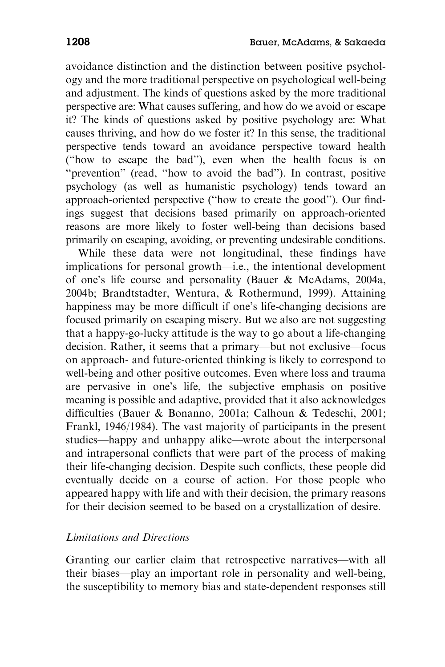avoidance distinction and the distinction between positive psychology and the more traditional perspective on psychological well-being and adjustment. The kinds of questions asked by the more traditional perspective are: What causes suffering, and how do we avoid or escape it? The kinds of questions asked by positive psychology are: What causes thriving, and how do we foster it? In this sense, the traditional perspective tends toward an avoidance perspective toward health (''how to escape the bad''), even when the health focus is on "prevention" (read, "how to avoid the bad"). In contrast, positive psychology (as well as humanistic psychology) tends toward an approach-oriented perspective (''how to create the good''). Our findings suggest that decisions based primarily on approach-oriented reasons are more likely to foster well-being than decisions based primarily on escaping, avoiding, or preventing undesirable conditions.

While these data were not longitudinal, these findings have implications for personal growth—i.e., the intentional development of one's life course and personality (Bauer & McAdams, 2004a, 2004b; Brandtstadter, Wentura, & Rothermund, 1999). Attaining happiness may be more difficult if one's life-changing decisions are focused primarily on escaping misery. But we also are not suggesting that a happy-go-lucky attitude is the way to go about a life-changing decision. Rather, it seems that a primary—but not exclusive—focus on approach- and future-oriented thinking is likely to correspond to well-being and other positive outcomes. Even where loss and trauma are pervasive in one's life, the subjective emphasis on positive meaning is possible and adaptive, provided that it also acknowledges difficulties (Bauer & Bonanno, 2001a; Calhoun & Tedeschi, 2001; Frankl, 1946/1984). The vast majority of participants in the present studies—happy and unhappy alike—wrote about the interpersonal and intrapersonal conflicts that were part of the process of making their life-changing decision. Despite such conflicts, these people did eventually decide on a course of action. For those people who appeared happy with life and with their decision, the primary reasons for their decision seemed to be based on a crystallization of desire.

## Limitations and Directions

Granting our earlier claim that retrospective narratives—with all their biases—play an important role in personality and well-being, the susceptibility to memory bias and state-dependent responses still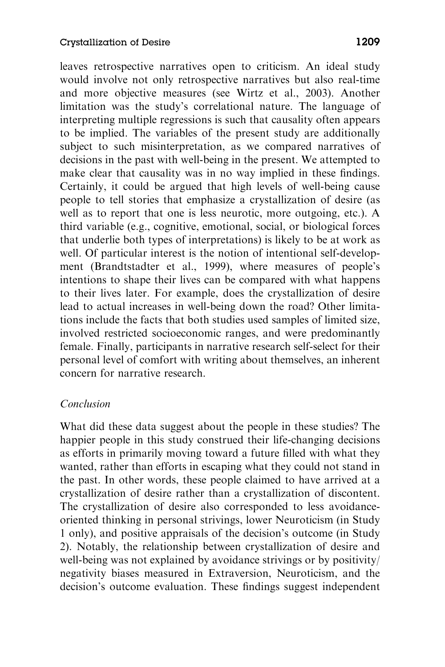leaves retrospective narratives open to criticism. An ideal study would involve not only retrospective narratives but also real-time and more objective measures (see Wirtz et al., 2003). Another limitation was the study's correlational nature. The language of interpreting multiple regressions is such that causality often appears to be implied. The variables of the present study are additionally subject to such misinterpretation, as we compared narratives of decisions in the past with well-being in the present. We attempted to make clear that causality was in no way implied in these findings. Certainly, it could be argued that high levels of well-being cause people to tell stories that emphasize a crystallization of desire (as well as to report that one is less neurotic, more outgoing, etc.). A third variable (e.g., cognitive, emotional, social, or biological forces that underlie both types of interpretations) is likely to be at work as well. Of particular interest is the notion of intentional self-development (Brandtstadter et al., 1999), where measures of people's intentions to shape their lives can be compared with what happens to their lives later. For example, does the crystallization of desire lead to actual increases in well-being down the road? Other limitations include the facts that both studies used samples of limited size, involved restricted socioeconomic ranges, and were predominantly female. Finally, participants in narrative research self-select for their personal level of comfort with writing about themselves, an inherent concern for narrative research.

## Conclusion

What did these data suggest about the people in these studies? The happier people in this study construed their life-changing decisions as efforts in primarily moving toward a future filled with what they wanted, rather than efforts in escaping what they could not stand in the past. In other words, these people claimed to have arrived at a crystallization of desire rather than a crystallization of discontent. The crystallization of desire also corresponded to less avoidanceoriented thinking in personal strivings, lower Neuroticism (in Study 1 only), and positive appraisals of the decision's outcome (in Study 2). Notably, the relationship between crystallization of desire and well-being was not explained by avoidance strivings or by positivity/ negativity biases measured in Extraversion, Neuroticism, and the decision's outcome evaluation. These findings suggest independent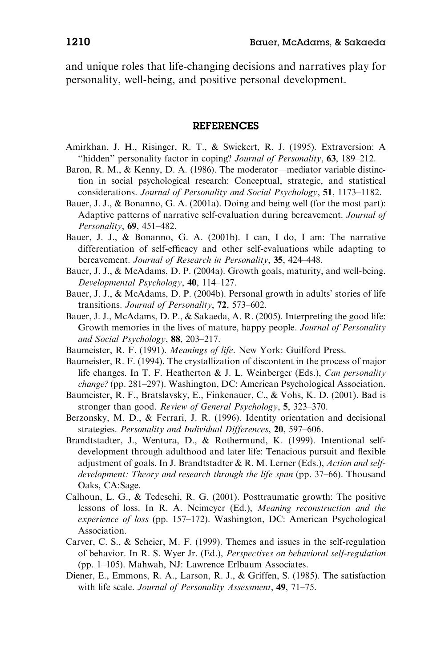and unique roles that life-changing decisions and narratives play for personality, well-being, and positive personal development.

#### REFERENCES

- Amirkhan, J. H., Risinger, R. T., & Swickert, R. J. (1995). Extraversion: A ''hidden'' personality factor in coping? Journal of Personality, 63, 189–212.
- Baron, R. M., & Kenny, D. A. (1986). The moderator—mediator variable distinction in social psychological research: Conceptual, strategic, and statistical considerations. Journal of Personality and Social Psychology, 51, 1173–1182.
- Bauer, J. J., & Bonanno, G. A. (2001a). Doing and being well (for the most part): Adaptive patterns of narrative self-evaluation during bereavement. Journal of Personality,  $69, 451-482$ .
- Bauer, J. J., & Bonanno, G. A. (2001b). I can, I do, I am: The narrative differentiation of self-efficacy and other self-evaluations while adapting to bereavement. Journal of Research in Personality, 35, 424-448.
- Bauer, J. J., & McAdams, D. P. (2004a). Growth goals, maturity, and well-being. Developmental Psychology, 40, 114–127.
- Bauer, J. J., & McAdams, D. P. (2004b). Personal growth in adults' stories of life transitions. Journal of Personality, 72, 573–602.
- Bauer, J. J., McAdams, D. P., & Sakaeda, A. R. (2005). Interpreting the good life: Growth memories in the lives of mature, happy people. Journal of Personality and Social Psychology, 88, 203–217.
- Baumeister, R. F. (1991). Meanings of life. New York: Guilford Press.
- Baumeister, R. F. (1994). The crystallization of discontent in the process of major life changes. In T. F. Heatherton & J. L. Weinberger (Eds.), Can personality change? (pp. 281–297). Washington, DC: American Psychological Association.
- Baumeister, R. F., Bratslavsky, E., Finkenauer, C., & Vohs, K. D. (2001). Bad is stronger than good. Review of General Psychology, 5, 323–370.
- Berzonsky, M. D., & Ferrari, J. R. (1996). Identity orientation and decisional strategies. Personality and Individual Differences, 20, 597–606.
- Brandtstadter, J., Wentura, D., & Rothermund, K. (1999). Intentional selfdevelopment through adulthood and later life: Tenacious pursuit and flexible adjustment of goals. In J. Brandtstadter & R. M. Lerner (Eds.), Action and selfdevelopment: Theory and research through the life span (pp. 37–66). Thousand Oaks, CA:Sage.
- Calhoun, L. G., & Tedeschi, R. G. (2001). Posttraumatic growth: The positive lessons of loss. In R. A. Neimeyer (Ed.), Meaning reconstruction and the experience of loss (pp. 157–172). Washington, DC: American Psychological Association.
- Carver, C. S., & Scheier, M. F. (1999). Themes and issues in the self-regulation of behavior. In R. S. Wyer Jr. (Ed.), Perspectives on behavioral self-regulation (pp. 1–105). Mahwah, NJ: Lawrence Erlbaum Associates.
- Diener, E., Emmons, R. A., Larson, R. J., & Griffen, S. (1985). The satisfaction with life scale. Journal of Personality Assessment, 49, 71-75.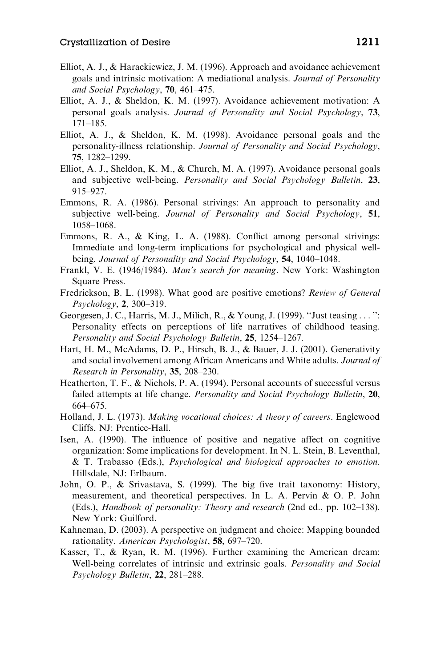- Elliot, A. J., & Harackiewicz, J. M. (1996). Approach and avoidance achievement goals and intrinsic motivation: A mediational analysis. Journal of Personality and Social Psychology, 70, 461–475.
- Elliot, A. J., & Sheldon, K. M. (1997). Avoidance achievement motivation: A personal goals analysis. Journal of Personality and Social Psychology, 73, 171–185.
- Elliot, A. J., & Sheldon, K. M. (1998). Avoidance personal goals and the personality-illness relationship. Journal of Personality and Social Psychology, 75, 1282–1299.
- Elliot, A. J., Sheldon, K. M., & Church, M. A. (1997). Avoidance personal goals and subjective well-being. Personality and Social Psychology Bulletin, 23, 915–927.
- Emmons, R. A. (1986). Personal strivings: An approach to personality and subjective well-being. Journal of Personality and Social Psychology, 51, 1058–1068.
- Emmons, R. A., & King, L. A. (1988). Conflict among personal strivings: Immediate and long-term implications for psychological and physical wellbeing. Journal of Personality and Social Psychology, 54, 1040-1048.
- Frankl, V. E. (1946/1984). Man's search for meaning. New York: Washington Square Press.
- Fredrickson, B. L. (1998). What good are positive emotions? Review of General Psychology, 2, 300–319.
- Georgesen, J. C., Harris, M. J., Milich, R., & Young, J. (1999). "Just teasing ...": Personality effects on perceptions of life narratives of childhood teasing. Personality and Social Psychology Bulletin, 25, 1254-1267.
- Hart, H. M., McAdams, D. P., Hirsch, B. J., & Bauer, J. J. (2001). Generativity and social involvement among African Americans and White adults. Journal of Research in Personality, 35, 208–230.
- Heatherton, T. F., & Nichols, P. A. (1994). Personal accounts of successful versus failed attempts at life change. Personality and Social Psychology Bulletin, 20, 664–675.
- Holland, J. L. (1973). Making vocational choices: A theory of careers. Englewood Cliffs, NJ: Prentice-Hall.
- Isen, A. (1990). The influence of positive and negative affect on cognitive organization: Some implications for development. In N. L. Stein, B. Leventhal, & T. Trabasso (Eds.), Psychological and biological approaches to emotion. Hillsdale, NJ: Erlbaum.
- John, O. P., & Srivastava, S. (1999). The big five trait taxonomy: History, measurement, and theoretical perspectives. In L. A. Pervin & O. P. John (Eds.), Handbook of personality: Theory and research (2nd ed., pp. 102–138). New York: Guilford.
- Kahneman, D. (2003). A perspective on judgment and choice: Mapping bounded rationality. American Psychologist, 58, 697–720.
- Kasser, T., & Ryan, R. M. (1996). Further examining the American dream: Well-being correlates of intrinsic and extrinsic goals. *Personality and Social* Psychology Bulletin, 22, 281–288.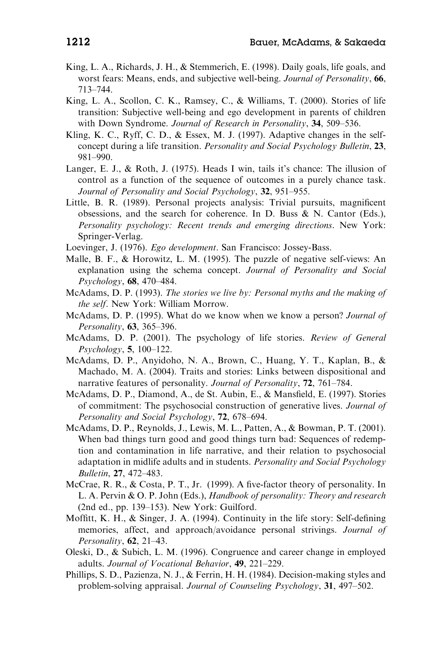- King, L. A., Richards, J. H., & Stemmerich, E. (1998). Daily goals, life goals, and worst fears: Means, ends, and subjective well-being. Journal of Personality, 66, 713–744.
- King, L. A., Scollon, C. K., Ramsey, C., & Williams, T. (2000). Stories of life transition: Subjective well-being and ego development in parents of children with Down Syndrome. Journal of Research in Personality, 34, 509–536.
- Kling, K. C., Ryff, C. D., & Essex, M. J. (1997). Adaptive changes in the selfconcept during a life transition. Personality and Social Psychology Bulletin, 23, 981–990.
- Langer, E. J., & Roth, J. (1975). Heads I win, tails it's chance: The illusion of control as a function of the sequence of outcomes in a purely chance task. Journal of Personality and Social Psychology, 32, 951–955.
- Little, B. R. (1989). Personal projects analysis: Trivial pursuits, magnificent obsessions, and the search for coherence. In D. Buss & N. Cantor (Eds.), Personality psychology: Recent trends and emerging directions. New York: Springer-Verlag.
- Loevinger, J. (1976). Ego development. San Francisco: Jossey-Bass.
- Malle, B. F., & Horowitz, L. M. (1995). The puzzle of negative self-views: An explanation using the schema concept. Journal of Personality and Social Psychology, 68, 470–484.
- McAdams, D. P. (1993). The stories we live by: Personal myths and the making of the self. New York: William Morrow.
- McAdams, D. P. (1995). What do we know when we know a person? Journal of Personality, 63, 365–396.
- McAdams, D. P. (2001). The psychology of life stories. Review of General Psychology, 5, 100–122.
- McAdams, D. P., Anyidoho, N. A., Brown, C., Huang, Y. T., Kaplan, B., & Machado, M. A. (2004). Traits and stories: Links between dispositional and narrative features of personality. Journal of Personality, 72, 761–784.
- McAdams, D. P., Diamond, A., de St. Aubin, E., & Mansfield, E. (1997). Stories of commitment: The psychosocial construction of generative lives. Journal of Personality and Social Psychology, 72, 678–694.
- McAdams, D. P., Reynolds, J., Lewis, M. L., Patten, A., & Bowman, P. T. (2001). When bad things turn good and good things turn bad: Sequences of redemption and contamination in life narrative, and their relation to psychosocial adaptation in midlife adults and in students. Personality and Social Psychology Bulletin, 27, 472–483.
- McCrae, R. R., & Costa, P. T., Jr. (1999). A five-factor theory of personality. In L. A. Pervin & O. P. John (Eds.), Handbook of personality: Theory and research (2nd ed., pp. 139–153). New York: Guilford.
- Moffitt, K. H., & Singer, J. A. (1994). Continuity in the life story: Self-defining memories, affect, and approach/avoidance personal strivings. Journal of Personality,  $62$ ,  $21-43$ .
- Oleski, D., & Subich, L. M. (1996). Congruence and career change in employed adults. Journal of Vocational Behavior, 49, 221–229.
- Phillips, S. D., Pazienza, N. J., & Ferrin, H. H. (1984). Decision-making styles and problem-solving appraisal. Journal of Counseling Psychology, 31, 497–502.